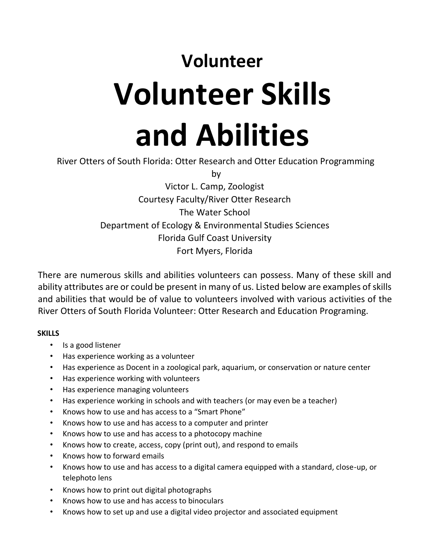## **Volunteer Volunteer Skills and Abilities**

River Otters of South Florida: Otter Research and Otter Education Programming

by

Victor L. Camp, Zoologist Courtesy Faculty/River Otter Research The Water School Department of Ecology & Environmental Studies Sciences Florida Gulf Coast University Fort Myers, Florida

There are numerous skills and abilities volunteers can possess. Many of these skill and ability attributes are or could be present in many of us. Listed below are examples of skills and abilities that would be of value to volunteers involved with various activities of the River Otters of South Florida Volunteer: Otter Research and Education Programing.

## **SKILLS**

- Is a good listener
- Has experience working as a volunteer
- Has experience as Docent in a zoological park, aquarium, or conservation or nature center
- Has experience working with volunteers
- Has experience managing volunteers
- Has experience working in schools and with teachers (or may even be a teacher)
- Knows how to use and has access to a "Smart Phone"
- Knows how to use and has access to a computer and printer
- Knows how to use and has access to a photocopy machine
- Knows how to create, access, copy (print out), and respond to emails
- Knows how to forward emails
- Knows how to use and has access to a digital camera equipped with a standard, close-up, or telephoto lens
- Knows how to print out digital photographs
- Knows how to use and has access to binoculars
- Knows how to set up and use a digital video projector and associated equipment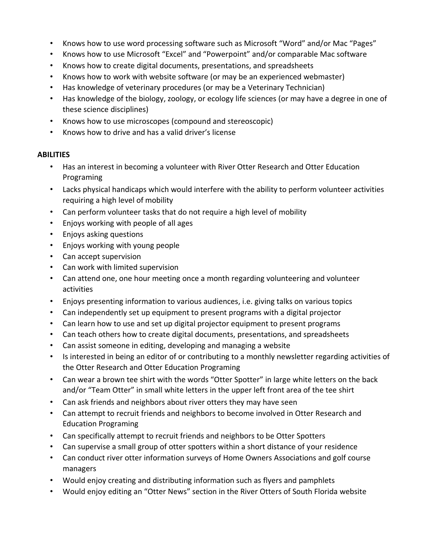- Knows how to use word processing software such as Microsoft "Word" and/or Mac "Pages"
- Knows how to use Microsoft "Excel" and "Powerpoint" and/or comparable Mac software
- Knows how to create digital documents, presentations, and spreadsheets
- Knows how to work with website software (or may be an experienced webmaster)
- Has knowledge of veterinary procedures (or may be a Veterinary Technician)
- Has knowledge of the biology, zoology, or ecology life sciences (or may have a degree in one of these science disciplines)
- Knows how to use microscopes (compound and stereoscopic)
- Knows how to drive and has a valid driver's license

## **ABILITIES**

- Has an interest in becoming a volunteer with River Otter Research and Otter Education Programing
- Lacks physical handicaps which would interfere with the ability to perform volunteer activities requiring a high level of mobility
- Can perform volunteer tasks that do not require a high level of mobility
- Enjoys working with people of all ages
- Enjoys asking questions
- Enjoys working with young people
- Can accept supervision
- Can work with limited supervision
- Can attend one, one hour meeting once a month regarding volunteering and volunteer activities
- Enjoys presenting information to various audiences, i.e. giving talks on various topics
- Can independently set up equipment to present programs with a digital projector
- Can learn how to use and set up digital projector equipment to present programs
- Can teach others how to create digital documents, presentations, and spreadsheets
- Can assist someone in editing, developing and managing a website
- Is interested in being an editor of or contributing to a monthly newsletter regarding activities of the Otter Research and Otter Education Programing
- Can wear a brown tee shirt with the words "Otter Spotter" in large white letters on the back and/or "Team Otter" in small white letters in the upper left front area of the tee shirt
- Can ask friends and neighbors about river otters they may have seen
- Can attempt to recruit friends and neighbors to become involved in Otter Research and Education Programing
- Can specifically attempt to recruit friends and neighbors to be Otter Spotters
- Can supervise a small group of otter spotters within a short distance of your residence
- Can conduct river otter information surveys of Home Owners Associations and golf course managers
- Would enjoy creating and distributing information such as flyers and pamphlets
- Would enjoy editing an "Otter News" section in the River Otters of South Florida website